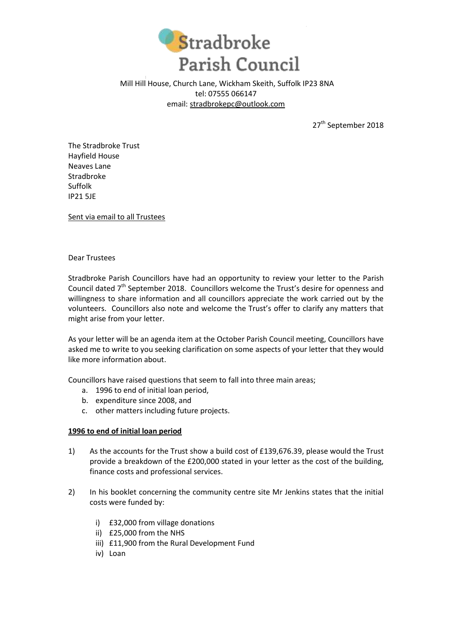

Mill Hill House, Church Lane, Wickham Skeith, Suffolk IP23 8NA tel: 07555 066147 email: [stradbrokepc@outlook.com](mailto:stradbrokepc@outlook.com)

27<sup>th</sup> September 2018

The Stradbroke Trust Hayfield House Neaves Lane Stradbroke Suffolk IP21 5JE

Sent via email to all Trustees

# Dear Trustees

Stradbroke Parish Councillors have had an opportunity to review your letter to the Parish Council dated  $7<sup>th</sup>$  September 2018. Councillors welcome the Trust's desire for openness and willingness to share information and all councillors appreciate the work carried out by the volunteers. Councillors also note and welcome the Trust's offer to clarify any matters that might arise from your letter.

As your letter will be an agenda item at the October Parish Council meeting, Councillors have asked me to write to you seeking clarification on some aspects of your letter that they would like more information about.

Councillors have raised questions that seem to fall into three main areas;

- a. 1996 to end of initial loan period,
- b. expenditure since 2008, and
- c. other matters including future projects.

# **1996 to end of initial loan period**

- 1) As the accounts for the Trust show a build cost of £139,676.39, please would the Trust provide a breakdown of the £200,000 stated in your letter as the cost of the building, finance costs and professional services.
- 2) In his booklet concerning the community centre site Mr Jenkins states that the initial costs were funded by:
	- i) £32,000 from village donations
	- ii) £25,000 from the NHS
	- iii) £11,900 from the Rural Development Fund
	- iv) Loan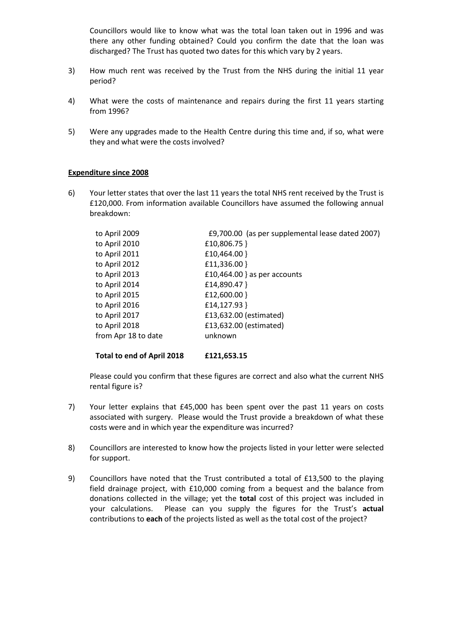Councillors would like to know what was the total loan taken out in 1996 and was there any other funding obtained? Could you confirm the date that the loan was discharged? The Trust has quoted two dates for this which vary by 2 years.

- 3) How much rent was received by the Trust from the NHS during the initial 11 year period?
- 4) What were the costs of maintenance and repairs during the first 11 years starting from 1996?
- 5) Were any upgrades made to the Health Centre during this time and, if so, what were they and what were the costs involved?

## **Expenditure since 2008**

6) Your letter states that over the last 11 years the total NHS rent received by the Trust is £120,000. From information available Councillors have assumed the following annual breakdown:

| to April 2009       | £9,700.00 (as per supplemental lease dated 2007) |
|---------------------|--------------------------------------------------|
| to April 2010       | £10,806.75 }                                     |
| to April 2011       | £10,464.00 }                                     |
| to April 2012       | £11,336.00 }                                     |
| to April 2013       | £10,464.00 } as per accounts                     |
| to April 2014       | £14,890.47 }                                     |
| to April 2015       | £12,600.00 }                                     |
| to April 2016       | £14,127.93 }                                     |
| to April 2017       | £13,632.00 (estimated)                           |
| to April 2018       | £13,632.00 (estimated)                           |
| from Apr 18 to date | unknown                                          |
|                     |                                                  |

### **Total to end of April 2018 £121,653.15**

Please could you confirm that these figures are correct and also what the current NHS rental figure is?

- 7) Your letter explains that £45,000 has been spent over the past 11 years on costs associated with surgery. Please would the Trust provide a breakdown of what these costs were and in which year the expenditure was incurred?
- 8) Councillors are interested to know how the projects listed in your letter were selected for support.
- 9) Councillors have noted that the Trust contributed a total of £13,500 to the playing field drainage project, with £10,000 coming from a bequest and the balance from donations collected in the village; yet the **total** cost of this project was included in your calculations. Please can you supply the figures for the Trust's **actual** contributions to **each** of the projects listed as well as the total cost of the project?